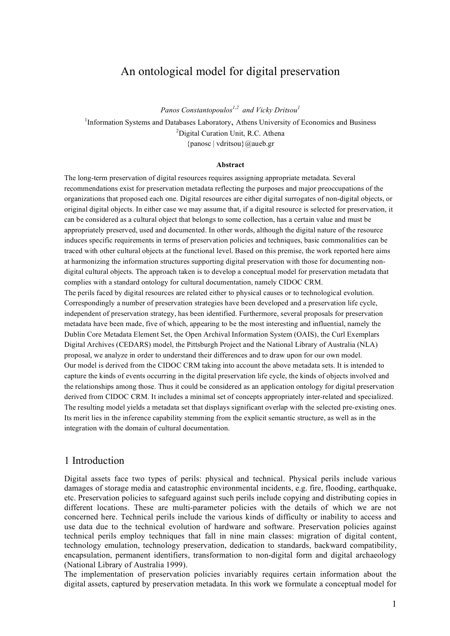# An ontological model for digital preservation

*Panos Constantopoulos 1,2 and Vicky Dritsou<sup>1</sup>* <sup>1</sup>Information Systems and Databases Laboratory, Athens University of Economics and Business <sup>2</sup>Digital Curation Unit, R.C. Athena {panosc | vdritsou}@aueb.gr

#### **Abstract**

The long-term preservation of digital resources requires assigning appropriate metadata. Several recommendations exist for preservation metadata reflecting the purposes and major preoccupations of the organizations that proposed each one. Digital resources are either digital surrogates of non-digital objects, or original digital objects. In either case we may assume that, if a digital resource is selected for preservation, it can be considered as a cultural object that belongs to some collection, has a certain value and must be appropriately preserved, used and documented. In other words, although the digital nature of the resource induces specific requirements in terms of preservation policies and techniques, basic commonalities can be traced with other cultural objects at the functional level. Based on this premise, the work reported here aims at harmonizing the information structures supporting digital preservation with those for documenting nondigital cultural objects. The approach taken is to develop a conceptual model for preservation metadata that complies with a standard ontology for cultural documentation, namely CIDOC CRM.

The perils faced by digital resources are related either to physical causes or to technological evolution. Correspondingly a number of preservation strategies have been developed and a preservation life cycle, independent of preservation strategy, has been identified. Furthermore, several proposals for preservation metadata have been made, five of which, appearing to be the most interesting and influential, namely the Dublin Core Metadata Element Set, the Open Archival Information System (OAIS), the Curl Exemplars Digital Archives (CEDARS) model, the Pittsburgh Project and the National Library of Australia (NLA) proposal, we analyze in order to understand their differences and to draw upon for our own model. Our model is derived from the CIDOC CRM taking into account the above metadata sets. It is intended to capture the kinds of events occurring in the digital preservation life cycle, the kinds of objects involved and the relationships among those. Thus it could be considered as an application ontology for digital preservation derived from CIDOC CRM. It includes a minimal set of concepts appropriately inter-related and specialized. The resulting model yields a metadata set that displays significant overlap with the selected pre-existing ones. Its merit lies in the inference capability stemming from the explicit semantic structure, as well as in the integration with the domain of cultural documentation.

#### 1 Introduction

Digital assets face two types of perils: physical and technical. Physical perils include various damages of storage media and catastrophic environmental incidents, e.g. fire, flooding, earthquake, etc. Preservation policies to safeguard against such perils include copying and distributing copies in different locations. These are multi-parameter policies with the details of which we are not concerned here. Technical perils include the various kinds of difficulty or inability to access and use data due to the technical evolution of hardware and software. Preservation policies against technical perils employ techniques that fall in nine main classes: migration of digital content, technology emulation, technology preservation, dedication to standards, backward compatibility, encapsulation, permanent identifiers, transformation to non-digital form and digital archaeology (National Library of Australia 1999).

The implementation of preservation policies invariably requires certain information about the digital assets, captured by preservation metadata. In this work we formulate a conceptual model for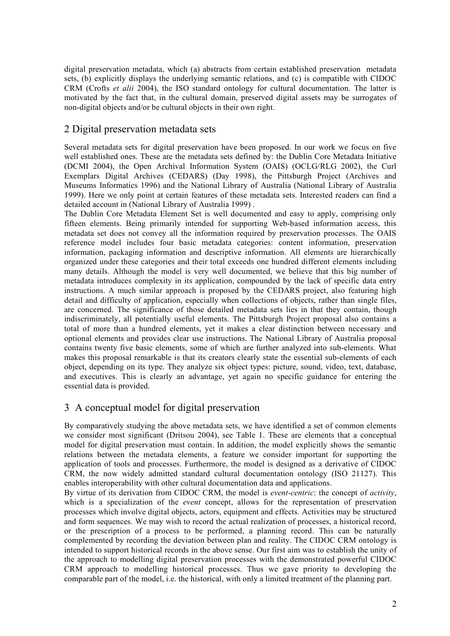digital preservation metadata, which (a) abstracts from certain established preservation metadata sets, (b) explicitly displays the underlying semantic relations, and (c) is compatible with CIDOC CRM (Crofts *et alii* 2004), the ISO standard ontology for cultural documentation. The latter is motivated by the fact that, in the cultural domain, preserved digital assets may be surrogates of non-digital objects and/or be cultural objects in their own right.

## 2 Digital preservation metadata sets

Several metadata sets for digital preservation have been proposed. In our work we focus on five well established ones. These are the metadata sets defined by: the Dublin Core Metadata Initiative (DCMI 2004), the Open Archival Information System (OAIS) (OCLG/RLG 2002), the Curl Exemplars Digital Archives (CEDARS) (Day 1998), the Pittsburgh Project (Archives and Museums Informatics 1996) and the National Library of Australia (National Library of Australia 1999). Here we only point at certain features of these metadata sets. Interested readers can find a detailed account in (National Library of Australia 1999) .

The Dublin Core Metadata Element Set is well documented and easy to apply, comprising only fifteen elements. Being primarily intended for supporting Web-based information access, this metadata set does not convey all the information required by preservation processes. The OAIS reference model includes four basic metadata categories: content information, preservation information, packaging information and descriptive information. All elements are hierarchically organized under these categories and their total exceeds one hundred different elements including many details. Although the model is very well documented, we believe that this big number of metadata introduces complexity in its application, compounded by the lack of specific data entry instructions. A much similar approach is proposed by the CEDARS project, also featuring high detail and difficulty of application, especially when collections of objects, rather than single files, are concerned. The significance of those detailed metadata sets lies in that they contain, though indiscriminately, all potentially useful elements. The Pittsburgh Project proposal also contains a total of more than a hundred elements, yet it makes a clear distinction between necessary and optional elements and provides clear use instructions. The National Library of Australia proposal contains twenty five basic elements, some of which are further analyzed into sub-elements. What makes this proposal remarkable is that its creators clearly state the essential sub-elements of each object, depending on its type. They analyze six object types: picture, sound, video, text, database, and executives. This is clearly an advantage, yet again no specific guidance for entering the essential data is provided.

## 3 A conceptual model for digital preservation

By comparatively studying the above metadata sets, we have identified a set of common elements we consider most significant (Dritsou 2004), see Table 1. These are elements that a conceptual model for digital preservation must contain. In addition, the model explicitly shows the semantic relations between the metadata elements, a feature we consider important for supporting the application of tools and processes. Furthermore, the model is designed as a derivative of CIDOC CRM, the now widely admitted standard cultural documentation ontology (ISO 21127). This enables interoperability with other cultural documentation data and applications.

By virtue of its derivation from CIDOC CRM, the model is *event-centric*: the concept of *activity*, which is a specialization of the *event* concept, allows for the representation of preservation processes which involve digital objects, actors, equipment and effects. Activities may be structured and form sequences. We may wish to record the actual realization of processes, a historical record, or the prescription of a process to be performed, a planning record. This can be naturally complemented by recording the deviation between plan and reality. The CIDOC CRM ontology is intended to support historical records in the above sense. Our first aim was to establish the unity of the approach to modelling digital preservation processes with the demonstrated powerful CIDOC CRM approach to modelling historical processes. Thus we gave priority to developing the comparable part of the model, i.e. the historical, with only a limited treatment of the planning part.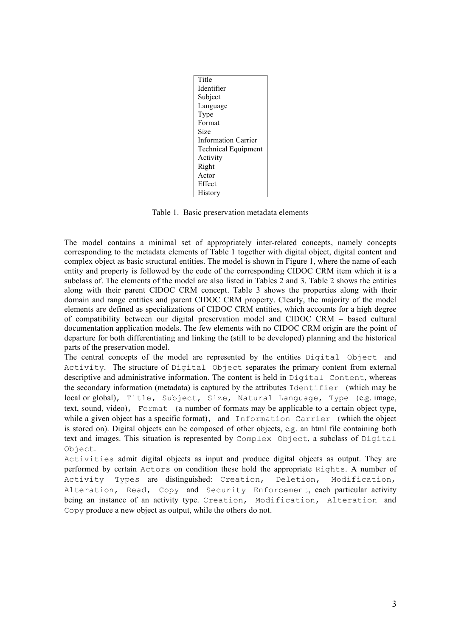| Title                      |
|----------------------------|
| Identifier                 |
| Subject                    |
| Language                   |
| Type                       |
| Format                     |
| Size                       |
| <b>Information Carrier</b> |
| <b>Technical Equipment</b> |
| Activity                   |
| Right                      |
| Actor                      |
| Effect                     |
| History                    |

Table 1. Basic preservation metadata elements

The model contains a minimal set of appropriately inter-related concepts, namely concepts corresponding to the metadata elements of Table 1 together with digital object, digital content and complex object as basic structural entities. The model is shown in Figure 1, where the name of each entity and property is followed by the code of the corresponding CIDOC CRM item which it is a subclass of. The elements of the model are also listed in Tables 2 and 3. Table 2 shows the entities along with their parent CIDOC CRM concept. Table 3 shows the properties along with their domain and range entities and parent CIDOC CRM property. Clearly, the majority of the model elements are defined as specializations of CIDOC CRM entities, which accounts for a high degree of compatibility between our digital preservation model and CIDOC CRM – based cultural documentation application models. The few elements with no CIDOC CRM origin are the point of departure for both differentiating and linking the (still to be developed) planning and the historical parts of the preservation model.

The central concepts of the model are represented by the entities Digital Object and Activity. The structure of Digital Object separates the primary content from external descriptive and administrative information. The content is held in Digital Content, whereas the secondary information (metadata) is captured by the attributes Identifier (which may be local or global), Title, Subject, Size, Natural Language, Type (e.g. image, text, sound, video), Format (a number of formats may be applicable to a certain object type, while a given object has a specific format), and Information Carrier (which the object is stored on). Digital objects can be composed of other objects, e.g. an html file containing both text and images. This situation is represented by Complex Object, a subclass of Digital Object.

Activities admit digital objects as input and produce digital objects as output. They are performed by certain Actors on condition these hold the appropriate Rights. A number of Activity Types are distinguished: Creation, Deletion, Modification, Alteration, Read, Copy and Security Enforcement, each particular activity being an instance of an activity type. Creation, Modification, Alteration and Copy produce a new object as output, while the others do not.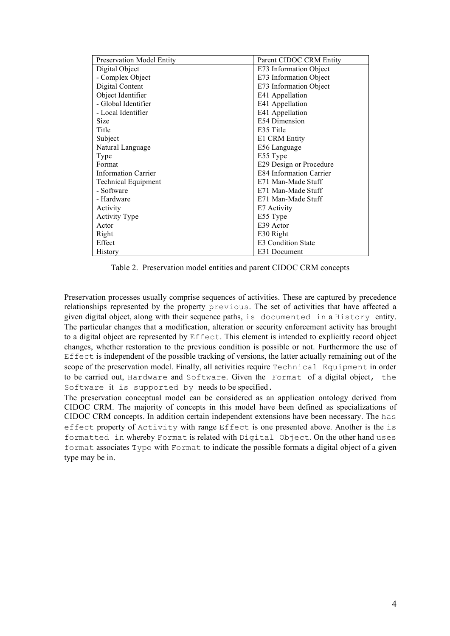| <b>Preservation Model Entity</b> | Parent CIDOC CRM Entity        |  |
|----------------------------------|--------------------------------|--|
| Digital Object                   | E73 Information Object         |  |
| - Complex Object                 | E73 Information Object         |  |
| Digital Content                  | E73 Information Object         |  |
| Object Identifier                | E41 Appellation                |  |
| - Global Identifier              | E41 Appellation                |  |
| - Local Identifier               | E41 Appellation                |  |
| Size                             | E54 Dimension                  |  |
| Title                            | E35 Title                      |  |
| Subject                          | E1 CRM Entity                  |  |
| Natural Language                 | E56 Language                   |  |
| Type                             | E55 Type                       |  |
| Format                           | E29 Design or Procedure        |  |
| <b>Information Carrier</b>       | <b>E84 Information Carrier</b> |  |
| <b>Technical Equipment</b>       | E71 Man-Made Stuff             |  |
| - Software                       | E71 Man-Made Stuff             |  |
| - Hardware                       | E71 Man-Made Stuff             |  |
| Activity                         | E7 Activity                    |  |
| <b>Activity Type</b>             | E55 Type                       |  |
| Actor                            | E39 Actor                      |  |
| Right                            | E30 Right                      |  |
| Effect                           | E3 Condition State             |  |
| History                          | E31 Document                   |  |

Table 2. Preservation model entities and parent CIDOC CRM concepts

Preservation processes usually comprise sequences of activities. These are captured by precedence relationships represented by the property previous. The set of activities that have affected a given digital object, along with their sequence paths, is documented in a History entity. The particular changes that a modification, alteration or security enforcement activity has brought to a digital object are represented by Effect. This element is intended to explicitly record object changes, whether restoration to the previous condition is possible or not. Furthermore the use of Effect is independent of the possible tracking of versions, the latter actually remaining out of the scope of the preservation model. Finally, all activities require Technical Equipment in order to be carried out, Hardware and Software. Given the Format of a digital object, the Software it is supported by needs to be specified.

The preservation conceptual model can be considered as an application ontology derived from CIDOC CRM. The majority of concepts in this model have been defined as specializations of CIDOC CRM concepts. In addition certain independent extensions have been necessary. The has effect property of Activity with range Effect is one presented above. Another is the is formatted in whereby Format is related with Digital Object. On the other hand uses format associates Type with Format to indicate the possible formats a digital object of a given type may be in.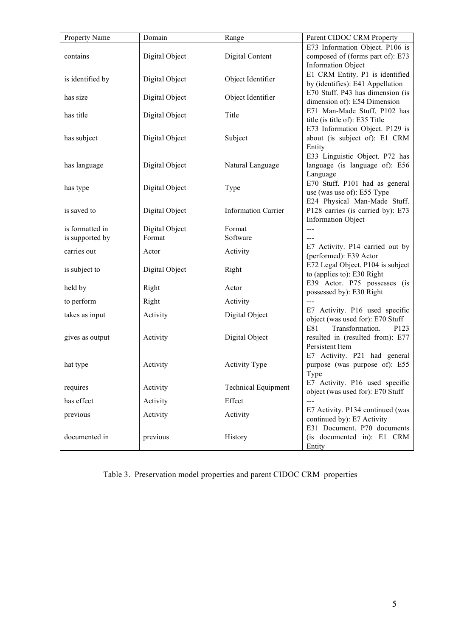| Property Name    | Domain         | Range                      | Parent CIDOC CRM Property                                                                                    |
|------------------|----------------|----------------------------|--------------------------------------------------------------------------------------------------------------|
| contains         | Digital Object | Digital Content            | E73 Information Object. P106 is<br>composed of (forms part of): E73<br><b>Information Object</b>             |
| is identified by | Digital Object | Object Identifier          | E1 CRM Entity. P1 is identified<br>by (identifies): E41 Appellation                                          |
| has size         | Digital Object | Object Identifier          | E70 Stuff. P43 has dimension (is<br>dimension of): E54 Dimension                                             |
| has title        | Digital Object | Title                      | E71 Man-Made Stuff. P102 has<br>title (is title of): E35 Title                                               |
| has subject      | Digital Object | Subject                    | E73 Information Object. P129 is<br>about (is subject of): E1 CRM<br>Entity<br>E33 Linguistic Object. P72 has |
| has language     | Digital Object | Natural Language           | language (is language of): E56<br>Language                                                                   |
| has type         | Digital Object | Type                       | E70 Stuff. P101 had as general<br>use (was use of): E55 Type<br>E24 Physical Man-Made Stuff.                 |
| is saved to      | Digital Object | <b>Information Carrier</b> | P128 carries (is carried by): E73<br><b>Information Object</b>                                               |
| is formatted in  | Digital Object | Format                     | $---$                                                                                                        |
| is supported by  | Format         | Software                   |                                                                                                              |
| carries out      | Actor          | Activity                   | E7 Activity. P14 carried out by<br>(performed): E39 Actor                                                    |
| is subject to    | Digital Object | Right                      | E72 Legal Object. P104 is subject<br>to (applies to): E30 Right                                              |
| held by          | Right          | Actor                      | E39 Actor. P75 possesses (is<br>possessed by): E30 Right                                                     |
| to perform       | Right          | Activity                   | $\sim$                                                                                                       |
| takes as input   | Activity       | Digital Object             | E7 Activity. P16 used specific<br>object (was used for): E70 Stuff                                           |
| gives as output  | Activity       | Digital Object             | E81<br>Transformation.<br>P123<br>resulted in (resulted from): E77<br>Persistent Item                        |
| hat type         | Activity       | <b>Activity Type</b>       | E7 Activity. P21 had general<br>purpose (was purpose of): E55<br>Type                                        |
| requires         | Activity       | <b>Technical Equipment</b> | E7 Activity. P16 used specific<br>object (was used for): E70 Stuff                                           |
| has effect       | Activity       | Effect                     | $\overline{a}$                                                                                               |
| previous         | Activity       | Activity                   | E7 Activity. P134 continued (was<br>continued by): E7 Activity<br>E31 Document. P70 documents                |
| documented in    | previous       | History                    | (is documented in): E1 CRM<br>Entity                                                                         |

# Table 3. Preservation model properties and parent CIDOC CRM properties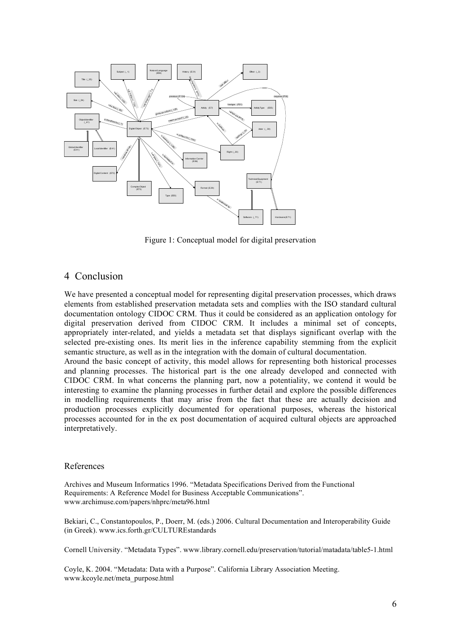

Figure 1: Conceptual model for digital preservation

### 4 Conclusion

We have presented a conceptual model for representing digital preservation processes, which draws elements from established preservation metadata sets and complies with the ISO standard cultural documentation ontology CIDOC CRM. Thus it could be considered as an application ontology for digital preservation derived from CIDOC CRM. It includes a minimal set of concepts, appropriately inter-related, and yields a metadata set that displays significant overlap with the selected pre-existing ones. Its merit lies in the inference capability stemming from the explicit semantic structure, as well as in the integration with the domain of cultural documentation.

Around the basic concept of activity, this model allows for representing both historical processes and planning processes. The historical part is the one already developed and connected with CIDOC CRM. In what concerns the planning part, now a potentiality, we contend it would be interesting to examine the planning processes in further detail and explore the possible differences in modelling requirements that may arise from the fact that these are actually decision and production processes explicitly documented for operational purposes, whereas the historical processes accounted for in the ex post documentation of acquired cultural objects are approached interpretatively.

#### References

Archives and Museum Informatics 1996. "Metadata Specifications Derived from the Functional Requirements: A Reference Model for Business Acceptable Communications". www.archimuse.com/papers/nhprc/meta96.html

Bekiari, C., Constantopoulos, P., Doerr, M. (eds.) 2006. Cultural Documentation and Interoperability Guide (in Greek). www.ics.forth.gr/CULTUREstandards

Cornell University. "Metadata Types". www.library.cornell.edu/preservation/tutorial/matadata/table5-1.html

Coyle, K. 2004. "Metadata: Data with a Purpose". California Library Association Meeting. www.kcoyle.net/meta\_purpose.html